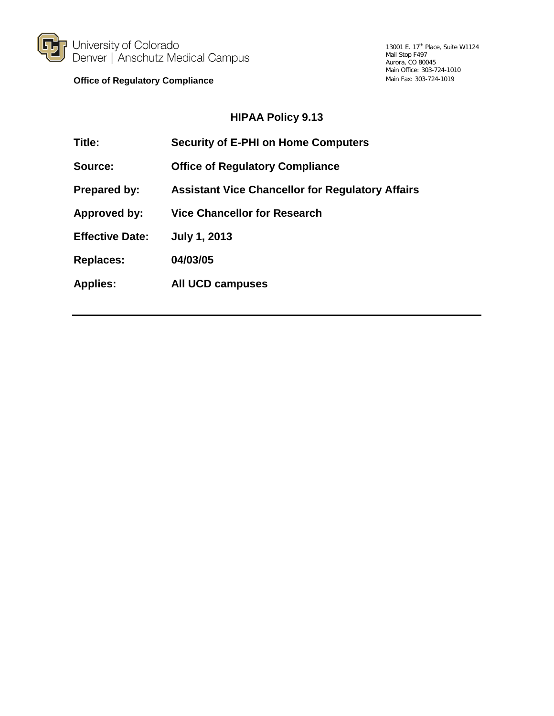

University of Colorado<br>Denver | Anschutz Medical Campus

**Office of Regulatory Compliance**

#### **HIPAA Policy 9.13**

| Title:                 | <b>Security of E-PHI on Home Computers</b>              |
|------------------------|---------------------------------------------------------|
| Source:                | <b>Office of Regulatory Compliance</b>                  |
| <b>Prepared by:</b>    | <b>Assistant Vice Chancellor for Regulatory Affairs</b> |
| Approved by:           | <b>Vice Chancellor for Research</b>                     |
| <b>Effective Date:</b> | <b>July 1, 2013</b>                                     |
| <b>Replaces:</b>       | 04/03/05                                                |
| <b>Applies:</b>        | All UCD campuses                                        |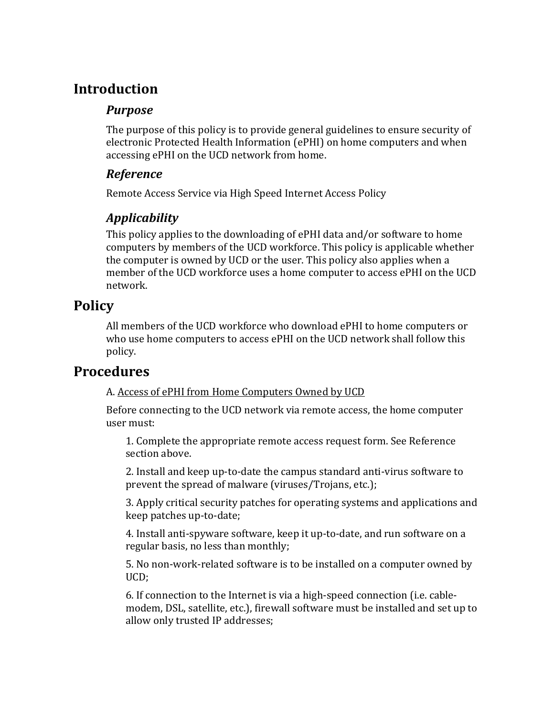# **Introduction**

### *Purpose*

The purpose of this policy is to provide general guidelines to ensure security of electronic Protected Health Information (ePHI) on home computers and when accessing ePHI on the UCD network from home.

### *Reference*

Remote Access Service via High Speed Internet Access Policy

## *Applicability*

This policy applies to the downloading of ePHI data and/or software to home computers by members of the UCD workforce. This policy is applicable whether the computer is owned by UCD or the user. This policy also applies when a member of the UCD workforce uses a home computer to access ePHI on the UCD network.

# **Policy**

All members of the UCD workforce who download ePHI to home computers or who use home computers to access ePHI on the UCD network shall follow this policy.

## **Procedures**

#### A. Access of ePHI from Home Computers Owned by UCD

Before connecting to the UCD network via remote access, the home computer user must:

1. Complete the appropriate remote access request form. See Reference section above.

2. Install and keep up-to-date the campus standard anti-virus software to prevent the spread of malware (viruses/Trojans, etc.);

3. Apply critical security patches for operating systems and applications and keep patches up-to-date;

4. Install anti-spyware software, keep it up-to-date, and run software on a regular basis, no less than monthly;

5. No non-work-related software is to be installed on a computer owned by UCD;

6. If connection to the Internet is via a high-speed connection (i.e. cablemodem, DSL, satellite, etc.), firewall software must be installed and set up to allow only trusted IP addresses;